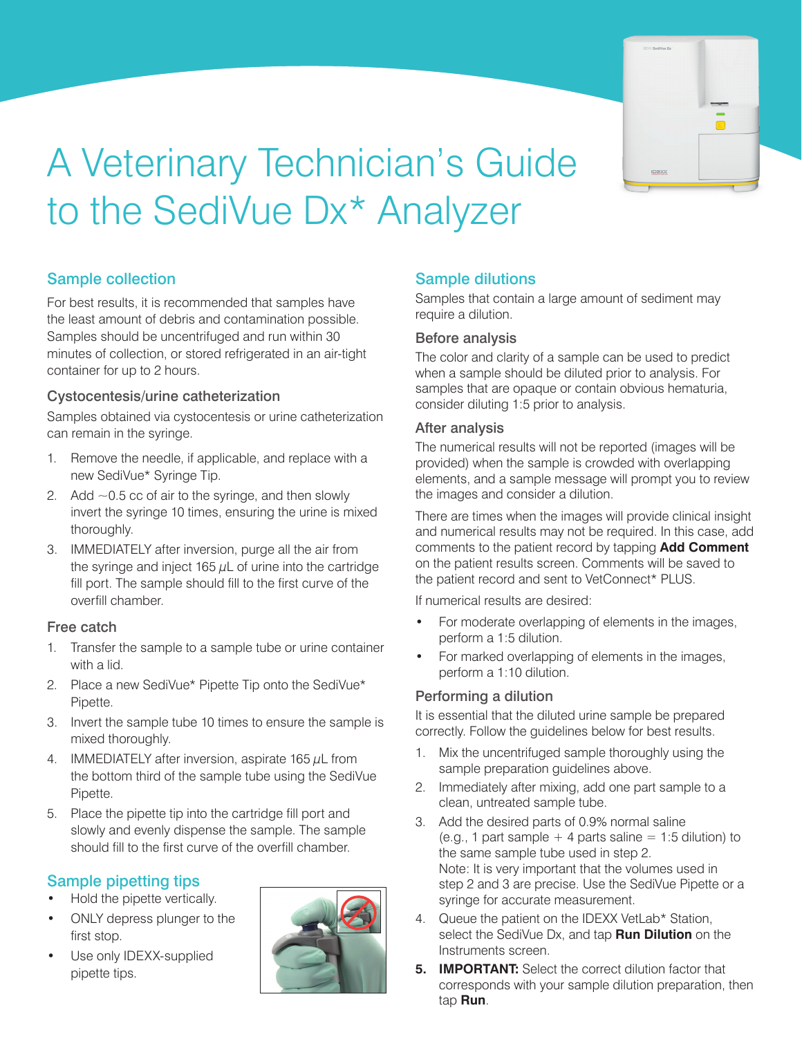

# A Veterinary Technician's Guide to the SediVue Dx\* Analyzer

# Sample collection

Samples should be uncentrifuged and run within 30<br>minutes of collection, or stored refrigerated in an air-For best results, it is recommended that samples have the least amount of debris and contamination possible. minutes of collection, or stored refrigerated in an air-tight container for up to 2 hours.

# Econtainer for up to 2 hours<br>
Cystocentesis/urine catheterization<br>
cons

can remain in the syringe. Samples obtained via cystocentesis or urine catheterization

- 1. Remove the needle, if applicable, and replace with a new SediVue\* Syringe Tip.
- 2. Add  $\sim$  0.5 cc of air to the syringe, and then slowly invert the syringe 10 times, ensuring the urine is mixed thoroughly.
- 3. IMMEDIATELY after inversion, purge all the air from the syringe and inject 165  $\mu$ L of urine into the cartridge fill port. The sample should fill to the first curve of the overfill chamber.

## Free catch

- 1. Transfer the sample to a sample tube or urine container with a lid.
- 2. Place a new SediVue\* Pipette Tip onto the SediVue\* Pipette.
- 3. Invert the sample tube 10 times to ensure the sample is mixed thoroughly.
- 4. IMMEDIATELY after inversion, aspirate 165  $\mu$ L from the bottom third of the sample tube using the SediVue Pipette.
- 5. Place the pipette tip into the cartridge fill port and slowly and evenly dispense the sample. The sample should fill to the first curve of the overfill chamber.

# Sample pipetting tips

- Hold the pipette vertically.
- ONLY depress plunger to the first stop.
- Use only IDEXX-supplied pipette tips.



# Sample dilutions

Samples that contain a large amount of sediment may require a dilution.

#### Before analysis

The color and clarity of a sample can be used to predict when a sample should be diluted prior to analysis. For samples that are opaque or contain obvious hematuria, consider diluting 1:5 prior to analysis.

#### After analysis

The numerical results will not be reported (images will be provided) when the sample is crowded with overlapping elements, and a sample message will prompt you to review the images and consider a dilution.

There are times when the images will provide clinical insight and numerical results may not be required. In this case, add comments to the patient record by tapping **Add Comment**  on the patient results screen. Comments will be saved to the patient record and sent to VetConnect\* PLUS.

If numerical results are desired:

- For moderate overlapping of elements in the images, perform a 1:5 dilution.
- For marked overlapping of elements in the images, perform a 1:10 dilution.

## Performing a dilution

It is essential that the diluted urine sample be prepared correctly. Follow the guidelines below for best results.

- 1. Mix the uncentrifuged sample thoroughly using the sample preparation guidelines above.
- 2. Immediately after mixing, add one part sample to a clean, untreated sample tube.
- 3. Add the desired parts of 0.9% normal saline (e.g., 1 part sample  $+$  4 parts saline  $= 1:5$  dilution) to the same sample tube used in step 2. Note: It is very important that the volumes used in step 2 and 3 are precise. Use the SediVue Pipette or a syringe for accurate measurement.
- 4. Queue the patient on the IDEXX VetLab\* Station, select the SediVue Dx, and tap **Run Dilution** on the Instruments screen.
- **5. IMPORTANT:** Select the correct dilution factor that corresponds with your sample dilution preparation, then tap **Run**.